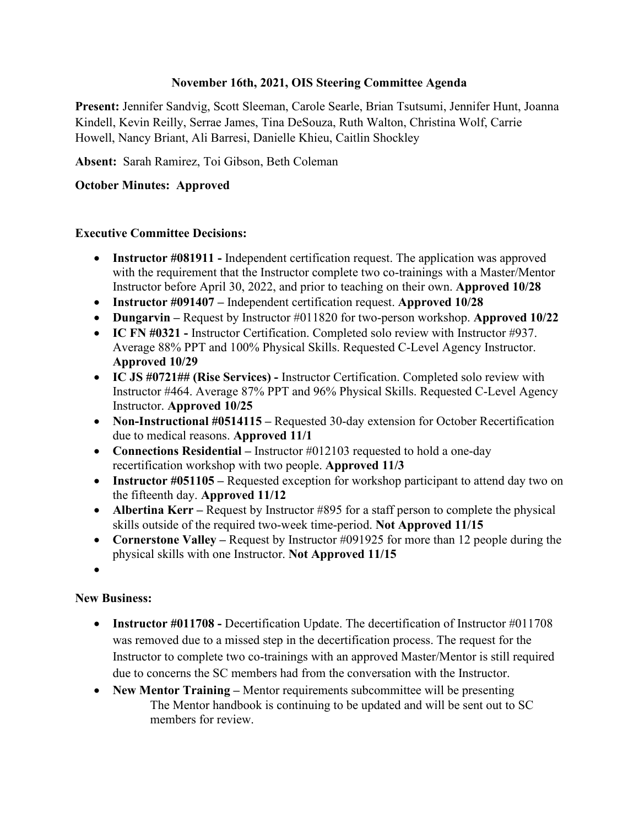#### **November 16th, 2021, OIS Steering Committee Agenda**

**Present:** Jennifer Sandvig, Scott Sleeman, Carole Searle, Brian Tsutsumi, Jennifer Hunt, Joanna Kindell, Kevin Reilly, Serrae James, Tina DeSouza, Ruth Walton, Christina Wolf, Carrie Howell, Nancy Briant, Ali Barresi, Danielle Khieu, Caitlin Shockley

**Absent:** Sarah Ramirez, Toi Gibson, Beth Coleman

### **October Minutes: Approved**

#### **Executive Committee Decisions:**

- **Instructor #081911** Independent certification request. The application was approved with the requirement that the Instructor complete two co-trainings with a Master/Mentor Instructor before April 30, 2022, and prior to teaching on their own. **Approved 10/28**
- **Instructor #091407 –** Independent certification request. **Approved 10/28**
- **Dungarvin –** Request by Instructor #011820 for two-person workshop. **Approved 10/22**
- **IC FN #0321 -** Instructor Certification. Completed solo review with Instructor #937. Average 88% PPT and 100% Physical Skills. Requested C-Level Agency Instructor. **Approved 10/29**
- **IC JS #0721## (Rise Services) -** Instructor Certification. Completed solo review with Instructor #464. Average 87% PPT and 96% Physical Skills. Requested C-Level Agency Instructor. **Approved 10/25**
- **Non-Instructional #0514115** Requested 30-day extension for October Recertification due to medical reasons. **Approved 11/1**
- **Connections Residential** Instructor #012103 requested to hold a one-day recertification workshop with two people. **Approved 11/3**
- **Instructor #051105** Requested exception for workshop participant to attend day two on the fifteenth day. **Approved 11/12**
- **Albertina Kerr** Request by Instructor #895 for a staff person to complete the physical skills outside of the required two-week time-period. **Not Approved 11/15**
- **Cornerstone Valley** Request by Instructor #091925 for more than 12 people during the physical skills with one Instructor. **Not Approved 11/15**
- •

#### **New Business:**

- **Instructor #011708 -** Decertification Update. The decertification of Instructor #011708 was removed due to a missed step in the decertification process. The request for the Instructor to complete two co-trainings with an approved Master/Mentor is still required due to concerns the SC members had from the conversation with the Instructor.
- **New Mentor Training** Mentor requirements subcommittee will be presenting The Mentor handbook is continuing to be updated and will be sent out to SC members for review.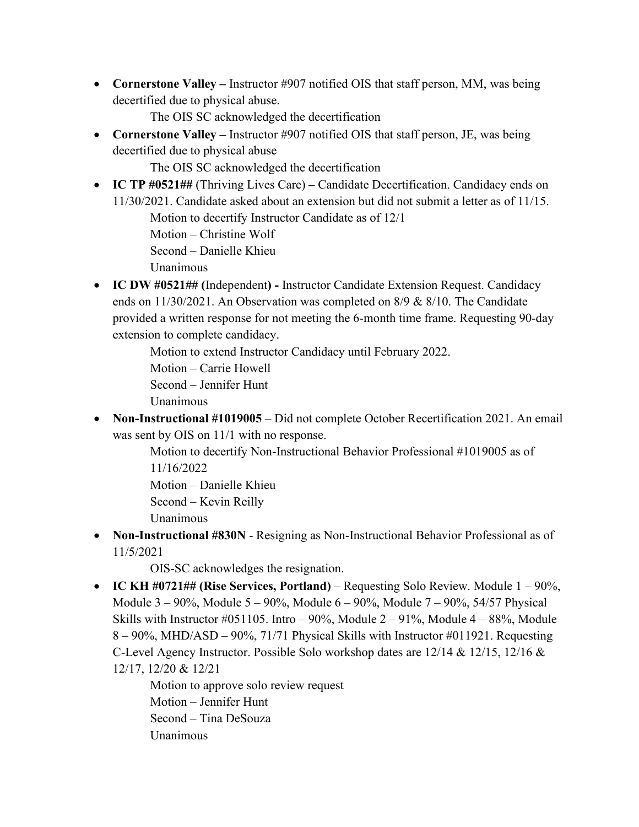• **Cornerstone Valley** – Instructor #907 notified OIS that staff person, MM, was being decertified due to physical abuse.

The OIS SC acknowledged the decertification

• **Cornerstone Valley** – Instructor #907 notified OIS that staff person, JE, was being decertified due to physical abuse

The OIS SC acknowledged the decertification

• **IC TP #0521##** (Thriving Lives Care) **–** Candidate Decertification. Candidacy ends on 11/30/2021. Candidate asked about an extension but did not submit a letter as of 11/15.

Motion to decertify Instructor Candidate as of 12/1

Motion – Christine Wolf

Second – Danielle Khieu

Unanimous

• **IC DW #0521## (**Independent**) -** Instructor Candidate Extension Request. Candidacy ends on 11/30/2021. An Observation was completed on 8/9 & 8/10. The Candidate provided a written response for not meeting the 6-month time frame. Requesting 90-day extension to complete candidacy.

Motion to extend Instructor Candidacy until February 2022.

Motion – Carrie Howell

Second – Jennifer Hunt

- Unanimous
- **Non-Instructional #1019005** Did not complete October Recertification 2021. An email was sent by OIS on 11/1 with no response.

Motion to decertify Non-Instructional Behavior Professional #1019005 as of 11/16/2022 Motion – Danielle Khieu Second – Kevin Reilly

- Unanimous
- **Non-Instructional #830N** Resigning as Non-Instructional Behavior Professional as of 11/5/2021

OIS-SC acknowledges the resignation.

• **IC KH #0721## (Rise Services, Portland)** – Requesting Solo Review. Module 1 – 90%, Module 3 – 90%, Module 5 – 90%, Module 6 – 90%, Module 7 – 90%, 54/57 Physical Skills with Instructor #051105. Intro  $-90\%$ , Module  $2-91\%$ , Module  $4-88\%$ , Module 8 – 90%, MHD/ASD – 90%, 71/71 Physical Skills with Instructor #011921. Requesting C-Level Agency Instructor. Possible Solo workshop dates are 12/14 & 12/15, 12/16 & 12/17, 12/20 & 12/21

> Motion to approve solo review request Motion – Jennifer Hunt Second – Tina DeSouza Unanimous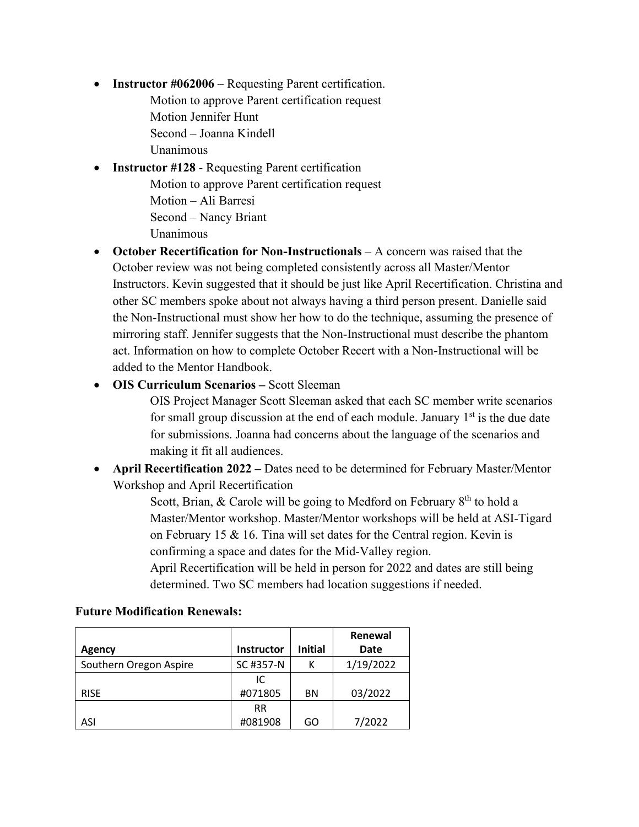- **Instructor #062006** Requesting Parent certification.
	- Motion to approve Parent certification request Motion Jennifer Hunt Second – Joanna Kindell

Unanimous

- **Instructor #128 Requesting Parent certification** Motion to approve Parent certification request Motion – Ali Barresi Second – Nancy Briant Unanimous
- **October Recertification for Non-Instructionals** A concern was raised that the October review was not being completed consistently across all Master/Mentor Instructors. Kevin suggested that it should be just like April Recertification. Christina and other SC members spoke about not always having a third person present. Danielle said the Non-Instructional must show her how to do the technique, assuming the presence of mirroring staff. Jennifer suggests that the Non-Instructional must describe the phantom act. Information on how to complete October Recert with a Non-Instructional will be added to the Mentor Handbook.
- **OIS Curriculum Scenarios –** Scott Sleeman

OIS Project Manager Scott Sleeman asked that each SC member write scenarios for small group discussion at the end of each module. January  $1<sup>st</sup>$  is the due date for submissions. Joanna had concerns about the language of the scenarios and making it fit all audiences.

• **April Recertification 2022 –** Dates need to be determined for February Master/Mentor Workshop and April Recertification

> Scott, Brian, & Carole will be going to Medford on February  $8<sup>th</sup>$  to hold a Master/Mentor workshop. Master/Mentor workshops will be held at ASI-Tigard on February 15 & 16. Tina will set dates for the Central region. Kevin is confirming a space and dates for the Mid-Valley region.

April Recertification will be held in person for 2022 and dates are still being determined. Two SC members had location suggestions if needed.

|                        |                   |                | Renewal   |
|------------------------|-------------------|----------------|-----------|
| Agency                 | <b>Instructor</b> | <b>Initial</b> | Date      |
| Southern Oregon Aspire | SC #357-N         |                | 1/19/2022 |
|                        | IC                |                |           |
| <b>RISE</b>            | #071805           | BN             | 03/2022   |
|                        | <b>RR</b>         |                |           |
| ASI                    | #081908           | GO             | 7/2022    |

#### **Future Modification Renewals:**